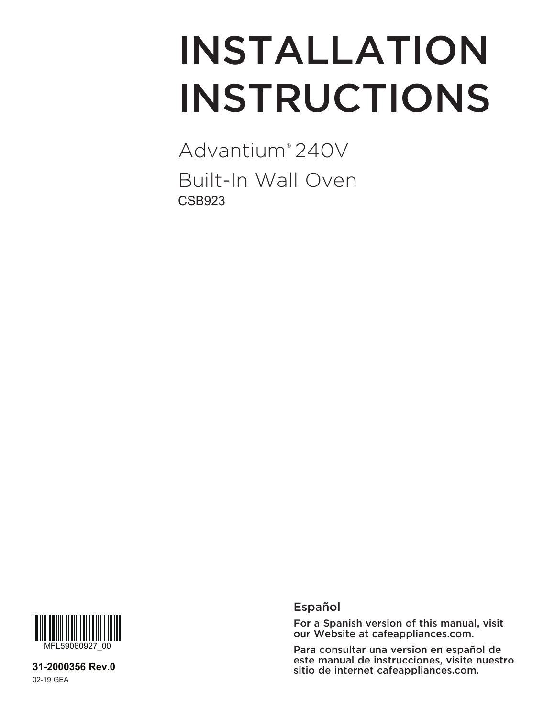# INSTALLATION INSTRUCTIONS

Advantium® 240V Built-In Wall Oven CSB923



**31-2000356 Rev.0** 02-19 GEA

### Español

For a Spanish version of this manual, visit our Website at cafeappliances.com.

Para consultar una version en español de este manual de instrucciones, visite nuestro sitio de internet cafeappliances.com.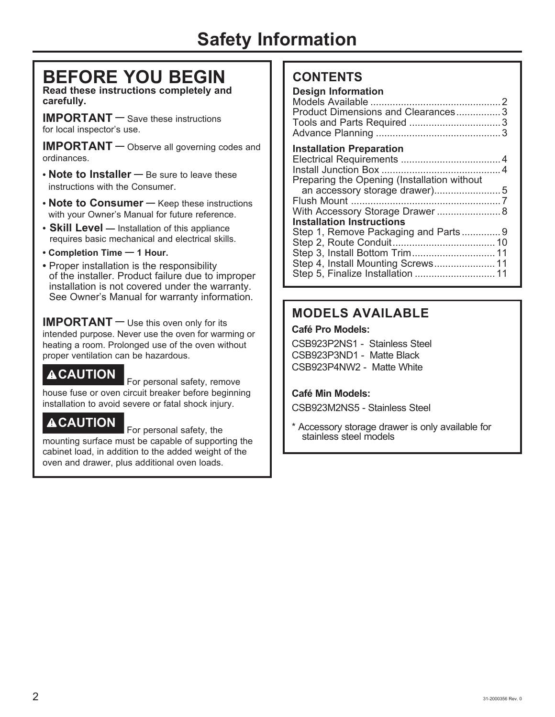# **Safety Information**

# **BEFORE YOU BEGIN**

**Read these instructions completely and carefully.**

**IMPORTANT —** Save these instructions for local inspector's use.

**IMPORTANT —** Observe all governing codes and ordinances.

- **• Note to Installer —** Be sure to leave these instructions with the Consumer.
- **• Note to Consumer —** Keep these instructions with your Owner's Manual for future reference.
- **Skill Level —** Installation of this appliance requires basic mechanical and electrical skills.
- **Completion Time — 1 Hour.**
- Proper installation is the responsibility of the installer. Product failure due to improper installation is not covered under the warranty. See Owner's Manual for warranty information.

**IMPORTANT —** Use this oven only for its intended purpose. Never use the oven for warming or heating a room. Prolonged use of the oven without proper ventilation can be hazardous.

**ACAUTION** For personal safety, remove house fuse or oven circuit breaker before beginning installation to avoid severe or fatal shock injury.

# **ACAUTION** For personal safety, the

mounting surface must be capable of supporting the cabinet load, in addition to the added weight of the oven and drawer, plus additional oven loads.

### **CONTENTS**

| <b>Design Information</b><br>Product Dimensions and Clearances3<br>Tools and Parts Required 3                                                         |  |
|-------------------------------------------------------------------------------------------------------------------------------------------------------|--|
| <b>Installation Preparation</b><br>Preparing the Opening (Installation without<br>With Accessory Storage Drawer 8<br><b>Installation Instructions</b> |  |
| Step 1, Remove Packaging and Parts9<br>Step 3, Install Bottom Trim 11<br>Step 4, Install Mounting Screws 11<br>Step 5, Finalize Installation  11      |  |

# **MODELS AVAILABLE**

### **Café Pro Models:**

CSB923P2NS1 - Stainless Steel CSB923P3ND1 - Matte Black CSB923P4NW2 - Matte White

### **Café Min Models:**

CSB923M2NS5 - Stainless Steel

\* Accessory storage drawer is only available for stainless steel models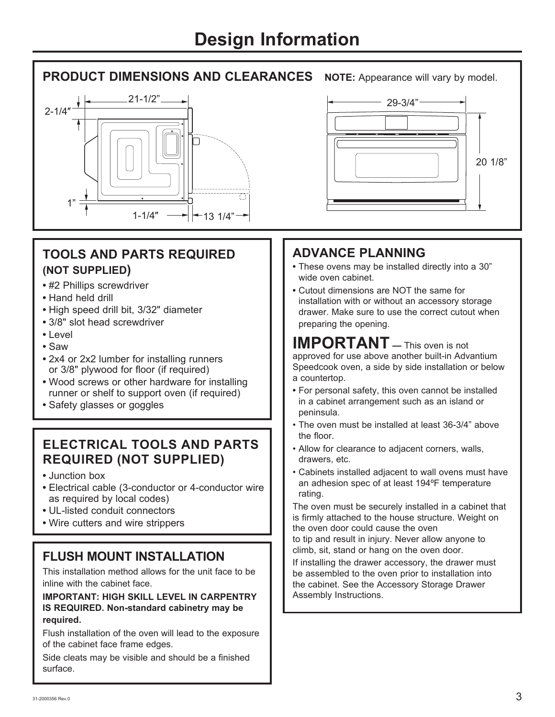# **PRODUCT DIMENSIONS AND CLEARANCES** NOTE: Appearance will vary by model.



### **TOOLS AND PARTS REQUIRED (NOT SUPPLIED)**

- **•** #2 Phillips screwdriver
- **•** Hand held drill
- **•** High speed drill bit, 3/32" diameter
- **•** 3/8" slot head screwdriver
- **•** Level
- **•** Saw
- **•** 2x4 or 2x2 lumber for installing runners or 3/8" plywood for floor (if required)
- **•** Wood screws or other hardware for installing runner or shelf to support oven (if required)
- **•** Safety glasses or goggles

### **ELECTRICAL TOOLS AND PARTS REQUIRED (NOT SUPPLIED)**

- **•** Junction box
- **•** Electrical cable (3-conductor or 4-conductor wire as required by local codes)
- **•** UL-listed conduit connectors
- **•** Wire cutters and wire strippers

# **FLUSH MOUNT INSTALLATION**

This installation method allows for the unit face to be inline with the cabinet face.

### **IMPORTANT: HIGH SKILL LEVEL IN CARPENTRY IS REQUIRED. Non-standard cabinetry may be required.**

Flush installation of the oven will lead to the exposure of the cabinet face frame edges.

Side cleats may be visible and should be a finished surface.



# **ADVANCE PLANNING**

- **•** These ovens may be installed directly into a 30" wide oven cabinet.
- **•** Cutout dimensions are NOT the same for installation with or without an accessory storage drawer. Make sure to use the correct cutout when preparing the opening.

### **IMPORTANT —** This oven is not approved for use above another built-in Advantium Speedcook oven, a side by side installation or below a countertop.

- **•** For personal safety, this oven cannot be installed in a cabinet arrangement such as an island or peninsula.
- The oven must be installed at least 36-3/4" above the floor.
- Allow for clearance to adjacent corners, walls, drawers, etc.
- Cabinets installed adjacent to wall ovens must have an adhesion spec of at least 194ºF temperature rating.

The oven must be securely installed in a cabinet that is firmly attached to the house structure. Weight on the oven door could cause the oven

to tip and result in injury. Never allow anyone to climb, sit, stand or hang on the oven door.

If installing the drawer accessory, the drawer must be assembled to the oven prior to installation into the cabinet. See the Accessory Storage Drawer Assembly Instructions.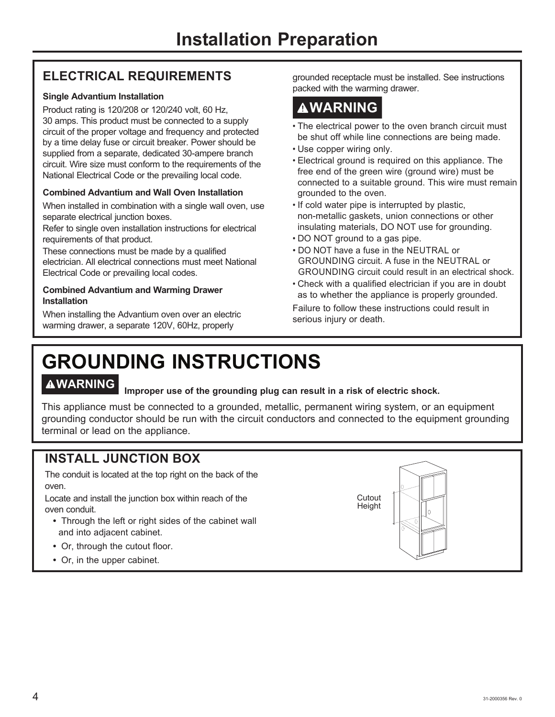# **ELECTRICAL REQUIREMENTS**

### **Single Advantium Installation**

Product rating is 120/208 or 120/240 volt, 60 Hz, 30 amps. This product must be connected to a supply circuit of the proper voltage and frequency and protected by a time delay fuse or circuit breaker. Power should be supplied from a separate, dedicated 30-ampere branch circuit. Wire size must conform to the requirements of the National Electrical Code or the prevailing local code.

### **Combined Advantium and Wall Oven Installation**

When installed in combination with a single wall oven, use separate electrical junction boxes.

Refer to single oven installation instructions for electrical requirements of that product.

These connections must be made by a qualified electrician. All electrical connections must meet National Electrical Code or prevailing local codes.

### **Combined Advantium and Warming Drawer Installation**

When installing the Advantium oven over an electric warming drawer, a separate 120V, 60Hz, properly

grounded receptacle must be installed. See instructions packed with the warming drawer.

# **WARNING**

- The electrical power to the oven branch circuit must be shut off while line connections are being made.
- Use copper wiring only.
- Electrical ground is required on this appliance. The free end of the green wire (ground wire) must be connected to a suitable ground. This wire must remain grounded to the oven.
- If cold water pipe is interrupted by plastic, non-metallic gaskets, union connections or other insulating materials, DO NOT use for grounding.
- DO NOT ground to a gas pipe.
- DO NOT have a fuse in the NEUTRAL or GROUNDING circuit. A fuse in the NEUTRAL or GROUNDING circuit could result in an electrical shock.
- Check with a qualified electrician if you are in doubt as to whether the appliance is properly grounded.

Failure to follow these instructions could result in serious injury or death.

# **GROUNDING INSTRUCTIONS**

# **WARNING Improper use of the grounding plug can result in a risk of electric shock.**

This appliance must be connected to a grounded, metallic, permanent wiring system, or an equipment grounding conductor should be run with the circuit conductors and connected to the equipment grounding terminal or lead on the appliance.

## **INSTALL JUNCTION BOX**

The conduit is located at the top right on the back of the oven.

Locate and install the junction box within reach of the oven conduit.

- **•** Through the left or right sides of the cabinet wall and into adjacent cabinet.
- **•** Or, through the cutout floor.
- **•** Or, in the upper cabinet.

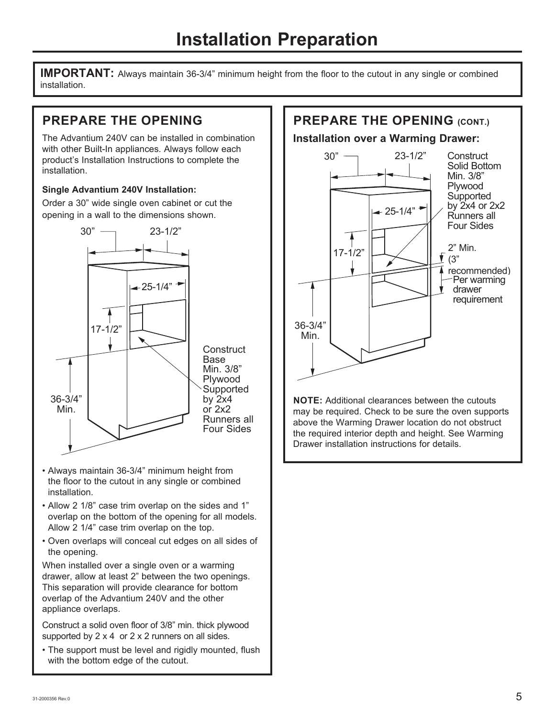**IMPORTANT:** Always maintain 36-3/4" minimum height from the floor to the cutout in any single or combined installation.

# **PREPARE THE OPENING**

The Advantium 240V can be installed in combination with other Built-In appliances. Always follow each product's Installation Instructions to complete the installation.

### **Single Advantium 240V Installation:**

Order a 30" wide single oven cabinet or cut the opening in a wall to the dimensions shown.



- Always maintain 36-3/4" minimum height from the floor to the cutout in any single or combined installation.
- Allow 2 1/8" case trim overlap on the sides and 1" overlap on the bottom of the opening for all models. Allow 2 1/4" case trim overlap on the top.
- Oven overlaps will conceal cut edges on all sides of the opening.

When installed over a single oven or a warming drawer, allow at least 2" between the two openings. This separation will provide clearance for bottom overlap of the Advantium 240V and the other appliance overlaps.

Construct a solid oven floor of 3/8" min. thick plywood supported by  $2 \times 4$  or  $2 \times 2$  runners on all sides.

• The support must be level and rigidly mounted, flush with the bottom edge of the cutout.

# **PREPARE THE OPENING (CONT.)**

**Installation over a Warming Drawer:**



**NOTE:** Additional clearances between the cutouts may be required. Check to be sure the oven supports above the Warming Drawer location do not obstruct the required interior depth and height. See Warming Drawer installation instructions for details.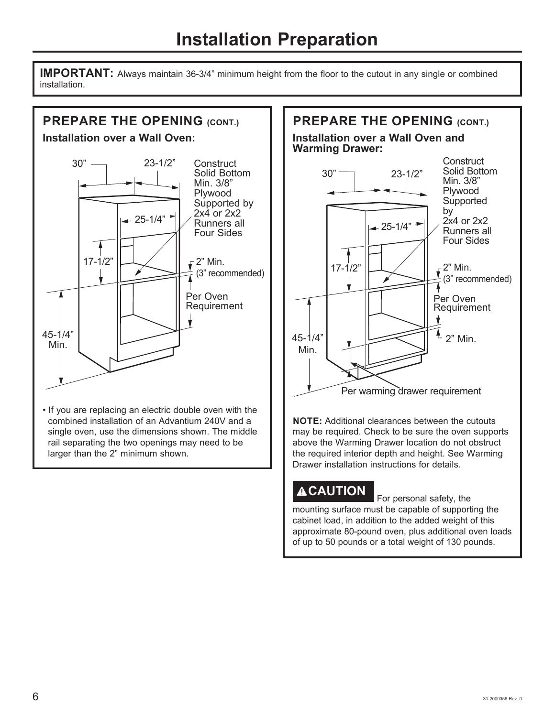**IMPORTANT:** Always maintain 36-3/4" minimum height from the floor to the cutout in any single or combined installation.



• If you are replacing an electric double oven with the combined installation of an Advantium 240V and a single oven, use the dimensions shown. The middle rail separating the two openings may need to be larger than the 2" minimum shown.



**NOTE:** Additional clearances between the cutouts may be required. Check to be sure the oven supports above the Warming Drawer location do not obstruct the required interior depth and height. See Warming Drawer installation instructions for details.

# **ACAUTION** For personal safety, the

mounting surface must be capable of supporting the cabinet load, in addition to the added weight of this approximate 80-pound oven, plus additional oven loads of up to 50 pounds or a total weight of 130 pounds.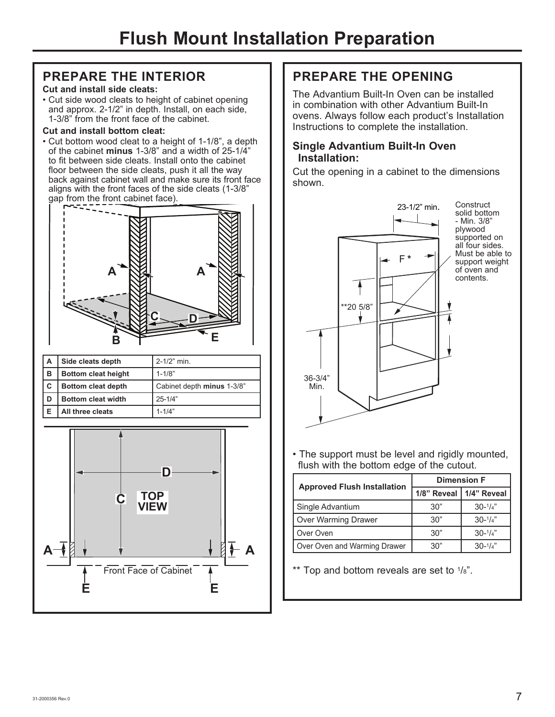### **PREPARE THE INTERIOR**

### **Cut and install side cleats:**

• Cut side wood cleats to height of cabinet opening and approx. 2-1/2" in depth. Install, on each side, 1-3/8" from the front face of the cabinet.

### **Cut and install bottom cleat:**

• Cut bottom wood cleat to a height of 1-1/8", a depth of the cabinet **minus** 1-3/8" and a width of 25-1/4" to fit between side cleats. Install onto the cabinet floor between the side cleats, push it all the way back against cabinet wall and make sure its front face aligns with the front faces of the side cleats (1-3/8" gap from the front cabinet face).



| l A | Side cleats depth          | $2 - 1/2$ " min.           |
|-----|----------------------------|----------------------------|
| в   | <b>Bottom cleat height</b> | $1 - 1/8"$                 |
| C   | <b>Bottom cleat depth</b>  | Cabinet depth minus 1-3/8" |
| D   | <b>Bottom cleat width</b>  | $25 - 1/4"$                |
|     | All three cleats           | $1 - 1/4"$                 |



### **PREPARE THE OPENING**

The Advantium Built-In Oven can be installed in combination with other Advantium Built-In ovens. Always follow each product's Installation Instructions to complete the installation.

### **Single Advantium Built-In Oven Installation:**

Cut the opening in a cabinet to the dimensions shown.



• The support must be level and rigidly mounted, flush with the bottom edge of the cutout.

|                                    | <b>Dimension F</b> |                           |
|------------------------------------|--------------------|---------------------------|
| <b>Approved Flush Installation</b> |                    | 1/8" Reveal   1/4" Reveal |
| Single Advantium                   | 30"                | $30-1/4"$                 |
| Over Warming Drawer                | 30"                | $30-1/4"$                 |
| Over Oven                          | 30"                | $30-1/4"$                 |
| Over Oven and Warming Drawer       | 30"                | $30 - \frac{1}{4}$        |

\*\* Top and bottom reveals are set to  $1/8$ ".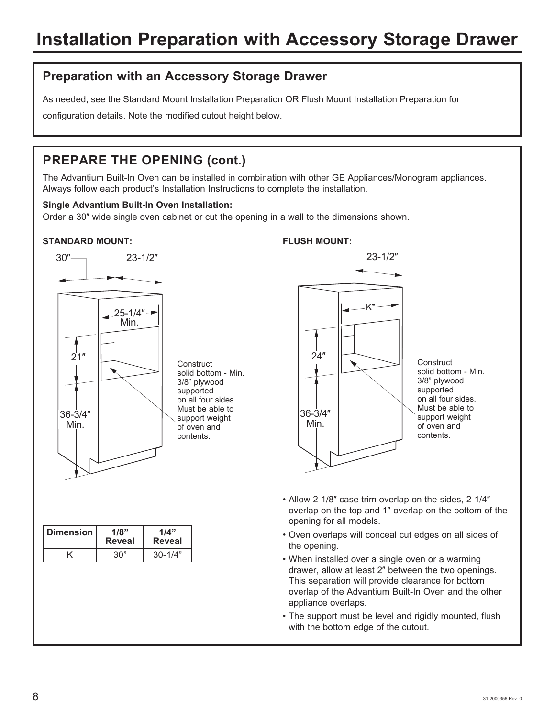### **Preparation with an Accessory Storage Drawer**

As needed, see the Standard Mount Installation Preparation OR Flush Mount Installation Preparation for

configuration details. Note the modified cutout height below.

# **PREPARE THE OPENING (cont.)**

The Advantium Built-In Oven can be installed in combination with other GE Appliances/Monogram appliances. Always follow each product's Installation Instructions to complete the installation.

### **Single Advantium Built-In Oven Installation:**

Order a 30Ǝ wide single oven cabinet or cut the opening in a wall to the dimensions shown.

### **STANDARD MOUNT:**



**Construct** solid bottom - Min. 3/8" plywood supported on all four sides. Must be able to support weight of oven and contents.

| <b>Dimension</b> | 1/8"<br><b>Reveal</b> | 1/4"<br>Reveal |
|------------------|-----------------------|----------------|
|                  | 30"                   | $30 - 1/4"$    |

# **FLUSH MOUNT:**  $23 - 1/2$ K\*  $24"$ 36-3/4<sup>Ǝ</sup> Min. **Construct** solid bottom - Min. 3/8" plywood supported on all four sides. Must be able to support weight of oven and contents.

- Allow 2-1/8" case trim overlap on the sides, 2-1/4" overlap on the top and 1Ǝ overlap on the bottom of the opening for all models.
- Oven overlaps will conceal cut edges on all sides of the opening.
- When installed over a single oven or a warming drawer, allow at least 2Ǝ between the two openings. This separation will provide clearance for bottom overlap of the Advantium Built-In Oven and the other appliance overlaps.
- The support must be level and rigidly mounted, flush with the bottom edge of the cutout.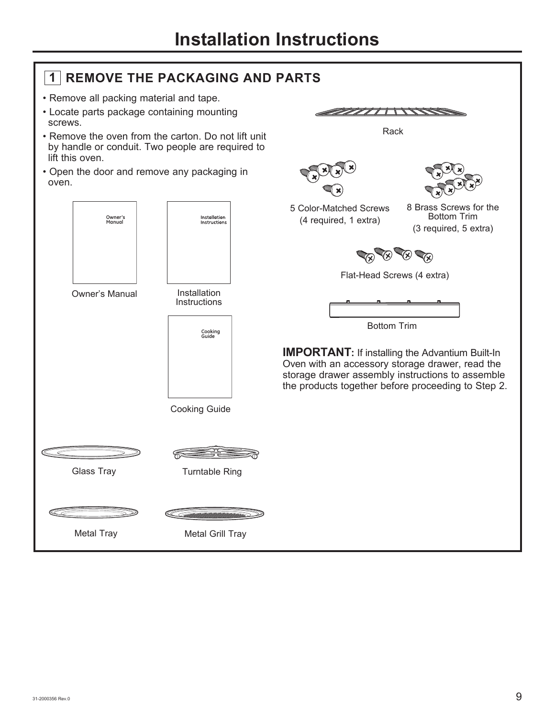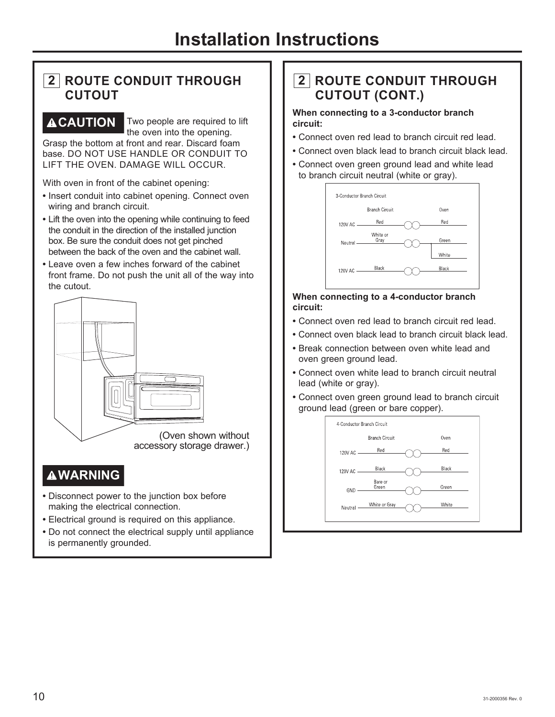### **2 ROUTE CONDUIT THROUGH CUTOUT**

**ACAUTION** Two people are required to lift the oven into the opening.

Grasp the bottom at front and rear. Discard foam base. DO NOT USE HANDLE OR CONDUIT TO LIFT THE OVEN. DAMAGE WILL OCCUR.

With oven in front of the cabinet opening:

- **•** Insert conduit into cabinet opening. Connect oven wiring and branch circuit.
- **•** Lift the oven into the opening while continuing to feed the conduit in the direction of the installed junction box. Be sure the conduit does not get pinched between the back of the oven and the cabinet wall.
- **•** Leave oven a few inches forward of the cabinet front frame. Do not push the unit all of the way into the cutout.



### **WARNING**

- **•** Disconnect power to the junction box before making the electrical connection.
- **•** Electrical ground is required on this appliance.
- **•** Do not connect the electrical supply until appliance is permanently grounded.

# **2 ROUTE CONDUIT THROUGH CUTOUT (CONT.)**

### **When connecting to a 3-conductor branch circuit:**

- **•** Connect oven red lead to branch circuit red lead.
- **•** Connect oven black lead to branch circuit black lead.
- **•** Connect oven green ground lead and white lead to branch circuit neutral (white or gray).



### **When connecting to a 4-conductor branch circuit:**

- **•** Connect oven red lead to branch circuit red lead.
- **•** Connect oven black lead to branch circuit black lead.
- **•** Break connection between oven white lead and oven green ground lead.
- **•** Connect oven white lead to branch circuit neutral lead (white or gray).
- **•** Connect oven green ground lead to branch circuit ground lead (green or bare copper).

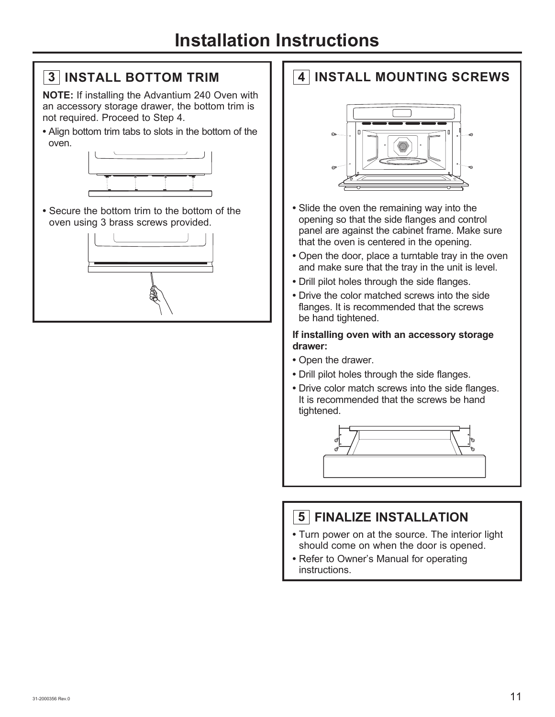# **3 INSTALL BOTTOM TRIM**

**NOTE:** If installing the Advantium 240 Oven with an accessory storage drawer, the bottom trim is not required. Proceed to Step 4.

**•** Align bottom trim tabs to slots in the bottom of the oven.



**•** Secure the bottom trim to the bottom of the oven using 3 brass screws provided.



# **4 INSTALL MOUNTING SCREWS**



- **•** Slide the oven the remaining way into the opening so that the side flanges and control panel are against the cabinet frame. Make sure that the oven is centered in the opening.
- **•** Open the door, place a turntable tray in the oven and make sure that the tray in the unit is level.
- **•** Drill pilot holes through the side flanges.
- **•** Drive the color matched screws into the side flanges. It is recommended that the screws be hand tightened.

### **If installing oven with an accessory storage drawer:**

- **•** Open the drawer.
- **•** Drill pilot holes through the side flanges.
- **•** Drive color match screws into the side flanges. It is recommended that the screws be hand tightened.



## **5 FINALIZE INSTALLATION**

- **•** Turn power on at the source. The interior light should come on when the door is opened.
- **•** Refer to Owner's Manual for operating instructions.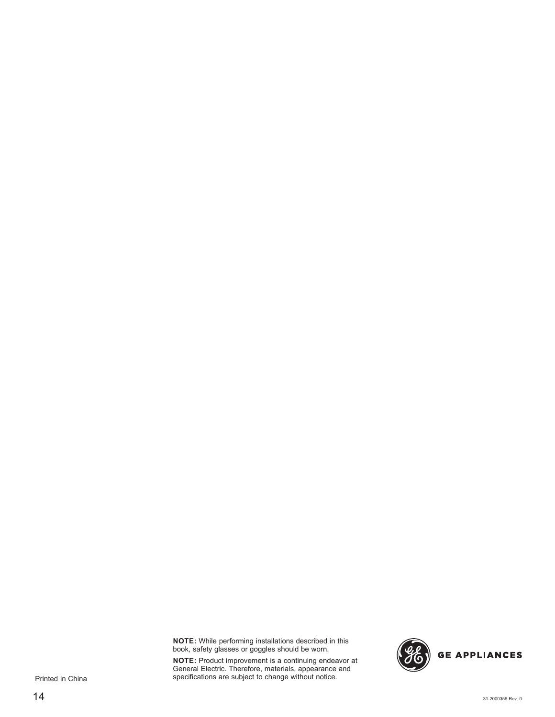**NOTE:** While performing installations described in this book, safety glasses or goggles should be worn.

**NOTE:** Product improvement is a continuing endeavor at General Electric. Therefore, materials, appearance and specifications are subject to change without notice.



Printed in China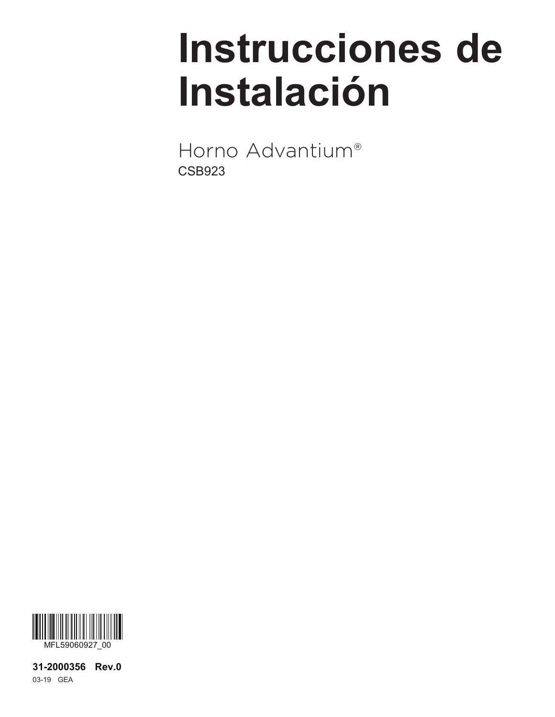# **Instrucciones de Instalación**

Horno Advantium® CSB923



**31-2000356 Rev.0** 03-19 GEA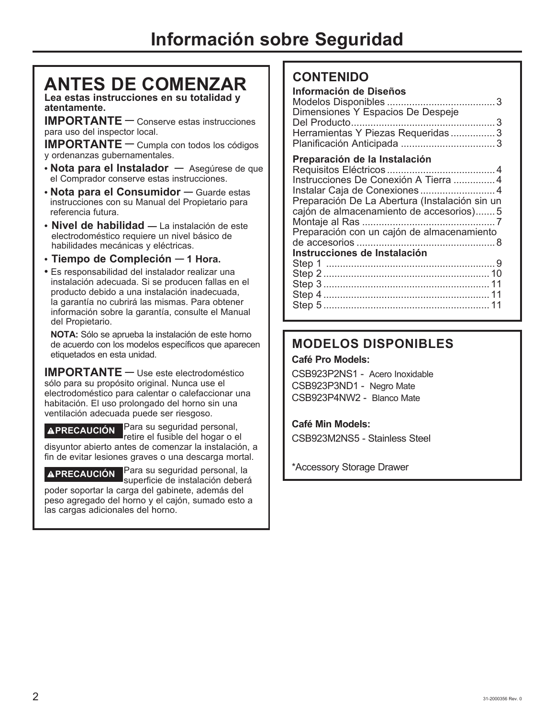# **ANTES DE COMENZAR**

**Lea estas instrucciones en su totalidad y atentamente.**

**IMPORTANTE —** Conserve estas instrucciones para uso del inspector local.

**IMPORTANTE —** Cumpla con todos los códigos y ordenanzas gubernamentales.

- **• Nota para el Instalador —** Asegúrese de que el Comprador conserve estas instrucciones.
- **• Nota para el Consumidor —** Guarde estas instrucciones con su Manual del Propietario para referencia futura.
- **Nivel de habilidad —** La instalación de este electrodoméstico requiere un nivel básico de habilidades mecánicas y eléctricas.
- **Tiempo de Compleción — 1 Hora.**
- Es responsabilidad del instalador realizar una instalación adecuada. Si se producen fallas en el producto debido a una instalación inadecuada, la garantía no cubrirá las mismas. Para obtener información sobre la garantía, consulte el Manual del Propietario.

 **NOTA:** Sólo se aprueba la instalación de este horno de acuerdo con los modelos específicos que aparecen etiquetados en esta unidad.

**IMPORTANTE —** Use este electrodoméstico sólo para su propósito original. Nunca use el electrodoméstico para calentar o calefaccionar una habitación. El uso prolongado del horno sin una ventilación adecuada puede ser riesgoso.

**PRECAUCIÓN** Para su seguridad personal, retire el fusible del hogar o el

disyuntor abierto antes de comenzar la instalación, a fin de evitar lesiones graves o una descarga mortal.

**PRECAUCIÓN** Para su seguridad personal, la superficie de instalación deberá

poder soportar la carga del gabinete, además del peso agregado del horno y el cajón, sumado esto a las cargas adicionales del horno.

### **CONTENIDO**

### **Información de Diseños**

Modelos Disponibles ....................................... 3 Dimensiones Y Espacios De Despeje Del Producto .................................................... 3 Herramientas Y Piezas Requeridas ................ 3 Planificación Anticipada .................................. 3

### **Preparación de la Instalación**

| Instrucciones De Conexión A Tierra  4          |
|------------------------------------------------|
| Instalar Caja de Conexiones4                   |
| Preparación De La Abertura (Instalación sin un |
| cajón de almacenamiento de accesorios)5        |
|                                                |
| Preparación con un cajón de almacenamiento     |
|                                                |
| Instrucciones de Instalación                   |
|                                                |
|                                                |
|                                                |
|                                                |
|                                                |
|                                                |

# **MODELOS DISPONIBLES**

### **Café Pro Models:**

CSB923P2NS1 - Acero Inoxidable CSB923P3ND1 - Negro Mate CSB923P4NW2 - Blanco Mate

### **Café Min Models:**

CSB923M2NS5 - Stainless Steel

\*Accessory Storage Drawer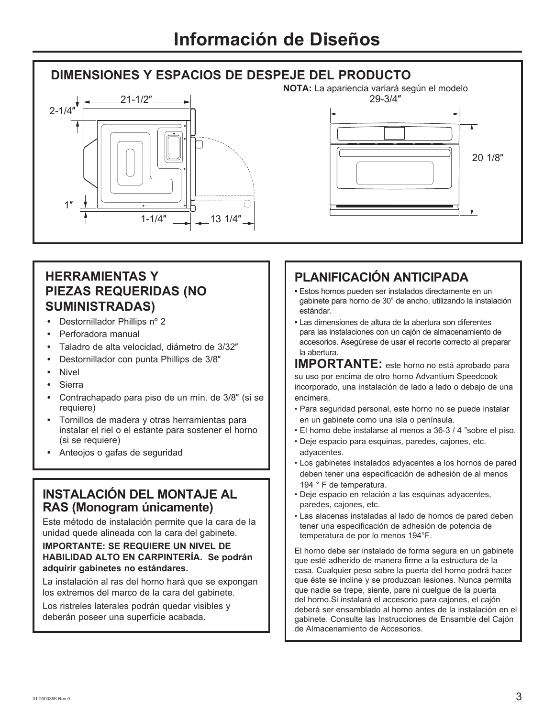### **DIMENSIONES Y ESPACIOS DE DESPEJE DEL PRODUCTO**





### **HERRAMIENTAS Y PIEZAS REQUERIDAS (NO SUMINISTRADAS)**

- Destornillador Phillips nº 2
- **•** Perforadora manual
- Taladro de alta velocidad, diámetro de 3/32"
- Destornillador con punta Phillips de 3/8"
- Nivel
- Sierra
- Contrachapado para piso de un mín. de 3/8" (si se requiere)
- Tornillos de madera y otras herramientas para instalar el riel o el estante para sostener el horno (si se requiere)
- Anteojos o gafas de seguridad

### **INSTALACIÓN DEL MONTAJE AL RAS (Monogram únicamente)**

Este método de instalación permite que la cara de la unidad quede alineada con la cara del gabinete.

### **IMPORTANTE: SE REQUIERE UN NIVEL DE HABILIDAD ALTO EN CARPINTERÍA. Se podrán adquirir gabinetes no estándares.**

La instalación al ras del horno hará que se expongan los extremos del marco de la cara del gabinete.

Los ristreles laterales podrán quedar visibles y deberán poseer una superficie acabada.

# **PLANIFICACIÓN ANTICIPADA**

- **•** Estos hornos pueden ser instalados directamente en un gabinete para horno de 30" de ancho, utilizando la instalación estándar.
- **•** Las dimensiones de altura de la abertura son diferentes para las instalaciones con un cajón de almacenamiento de accesorios. Asegúrese de usar el recorte correcto al preparar la abertura.

**IMPORTANTE:** este horno no está aprobado para su uso por encima de otro horno Advantium Speedcook incorporado, una instalación de lado a lado o debajo de una encimera.

- Para seguridad personal, este horno no se puede instalar en un gabinete como una isla o península.
- El horno debe instalarse al menos a 36-3 / 4 "sobre el piso.
- Deje espacio para esquinas, paredes, cajones, etc. adyacentes.
- Los gabinetes instalados adyacentes a los hornos de pared deben tener una especificación de adhesión de al menos 194 ° F de temperatura.
- Deje espacio en relación a las esquinas adyacentes, paredes, cajones, etc.
- Las alacenas instaladas al lado de hornos de pared deben tener una especificación de adhesión de potencia de temperatura de por lo menos 194°F.

El horno debe ser instalado de forma segura en un gabinete que esté adherido de manera firme a la estructura de la casa. Cualquier peso sobre la puerta del horno podrá hacer que éste se incline y se produzcan lesiones. Nunca permita que nadie se trepe, siente, pare ni cuelgue de la puerta del horno.Si instalará el accesorio para cajones, el cajón deberá ser ensamblado al horno antes de la instalación en el gabinete. Consulte las Instrucciones de Ensamble del Cajón de Almacenamiento de Accesorios.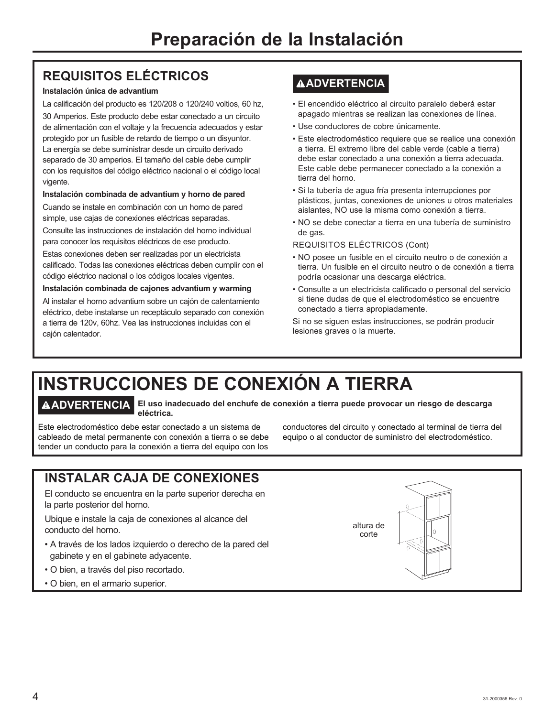# **REQUISITOS ELÉCTRICOS**

### **Instalación única de advantium**

La calificación del producto es 120/208 o 120/240 voltios, 60 hz,

30 Amperios. Este producto debe estar conectado a un circuito de alimentación con el voltaje y la frecuencia adecuados y estar protegido por un fusible de retardo de tiempo o un disyuntor. La energía se debe suministrar desde un circuito derivado separado de 30 amperios. El tamaño del cable debe cumplir con los requisitos del código eléctrico nacional o el código local vigente.

### **Instalación combinada de advantium y horno de pared**

Cuando se instale en combinación con un horno de pared simple, use cajas de conexiones eléctricas separadas.

Consulte las instrucciones de instalación del horno individual para conocer los requisitos eléctricos de ese producto.

Estas conexiones deben ser realizadas por un electricista calificado. Todas las conexiones eléctricas deben cumplir con el código eléctrico nacional o los códigos locales vigentes.

**Instalación combinada de cajones advantium y warming**

Al instalar el horno advantium sobre un cajón de calentamiento eléctrico, debe instalarse un receptáculo separado con conexión a tierra de 120v, 60hz. Vea las instrucciones incluidas con el cajón calentador.

### **ADVERTENCIA**

- El encendido eléctrico al circuito paralelo deberá estar apagado mientras se realizan las conexiones de línea.
- Use conductores de cobre únicamente.
- Este electrodoméstico requiere que se realice una conexión a tierra. El extremo libre del cable verde (cable a tierra) debe estar conectado a una conexión a tierra adecuada. Este cable debe permanecer conectado a la conexión a tierra del horno.
- Si la tubería de agua fría presenta interrupciones por plásticos, juntas, conexiones de uniones u otros materiales aislantes, NO use la misma como conexión a tierra.
- NO se debe conectar a tierra en una tubería de suministro de gas.

### REQUISITOS ELÉCTRICOS (Cont)

- NO posee un fusible en el circuito neutro o de conexión a tierra. Un fusible en el circuito neutro o de conexión a tierra podría ocasionar una descarga eléctrica.
- Consulte a un electricista calificado o personal del servicio si tiene dudas de que el electrodoméstico se encuentre conectado a tierra apropiadamente.

Si no se siguen estas instrucciones, se podrán producir lesiones graves o la muerte.

conductores del circuito y conectado al terminal de tierra del

# **INSTRUCCIONES DE CONEXIÓN A TIERRA**

**ADVERTENCIA El uso inadecuado del enchufe de conexión a tierra puede provocar un riesgo de descarga eléctrica.**

Este electrodoméstico debe estar conectado a un sistema de cableado de metal permanente con conexión a tierra o se debe tender un conducto para la conexión a tierra del equipo con los

equipo o al conductor de suministro del electrodoméstico.

# **INSTALAR CAJA DE CONEXIONES**

El conducto se encuentra en la parte superior derecha en la parte posterior del horno.

Ubique e instale la caja de conexiones al alcance del conducto del horno.

- A través de los lados izquierdo o derecho de la pared del gabinete y en el gabinete adyacente.
- O bien, a través del piso recortado.
- O bien, en el armario superior.

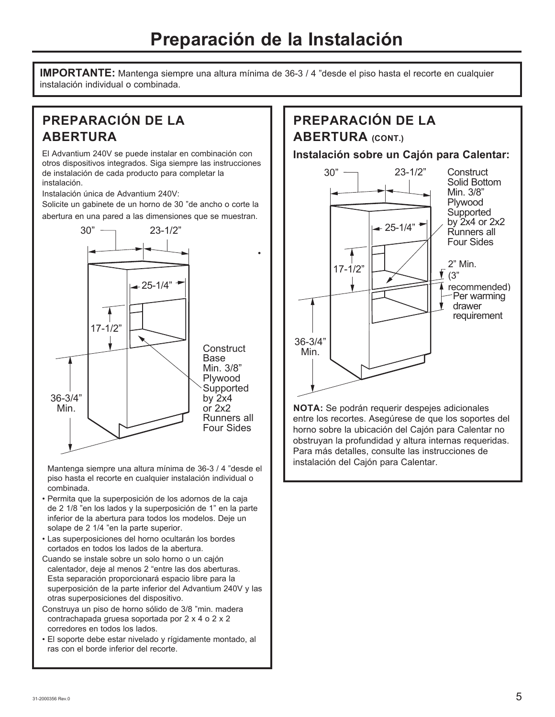# **Preparación de la Instalación**

**IMPORTANTE:** Mantenga siempre una altura mínima de 36-3 / 4 "desde el piso hasta el recorte en cualquier instalación individual o combinada.

# **PREPARACIÓN DE LA ABERTURA**

El Advantium 240V se puede instalar en combinación con otros dispositivos integrados. Siga siempre las instrucciones de instalación de cada producto para completar la instalación.

Instalación única de Advantium 240V:

Solicite un gabinete de un horno de 30 "de ancho o corte la abertura en una pared a las dimensiones que se muestran.



Mantenga siempre una altura mínima de 36-3 / 4 "desde el piso hasta el recorte en cualquier instalación individual o combinada.

- Permita que la superposición de los adornos de la caja de 2 1/8 "en los lados y la superposición de 1" en la parte inferior de la abertura para todos los modelos. Deje un solape de 2 1/4 "en la parte superior.
- Las superposiciones del horno ocultarán los bordes cortados en todos los lados de la abertura.
- Cuando se instale sobre un solo horno o un cajón calentador, deje al menos 2 "entre las dos aberturas. Esta separación proporcionará espacio libre para la superposición de la parte inferior del Advantium 240V y las otras superposiciones del dispositivo.
- Construya un piso de horno sólido de 3/8 "min. madera contrachapada gruesa soportada por 2 x 4 o 2 x 2 corredores en todos los lados.
- El soporte debe estar nivelado y rígidamente montado, al ras con el borde inferior del recorte.

### **PREPARACIÓN DE LA ABERTURA (CONT.)**

**Instalación sobre un Cajón para Calentar:**



**NOTA:** Se podrán requerir despejes adicionales entre los recortes. Asegúrese de que los soportes del horno sobre la ubicación del Cajón para Calentar no obstruyan la profundidad y altura internas requeridas. Para más detalles, consulte las instrucciones de instalación del Cajón para Calentar.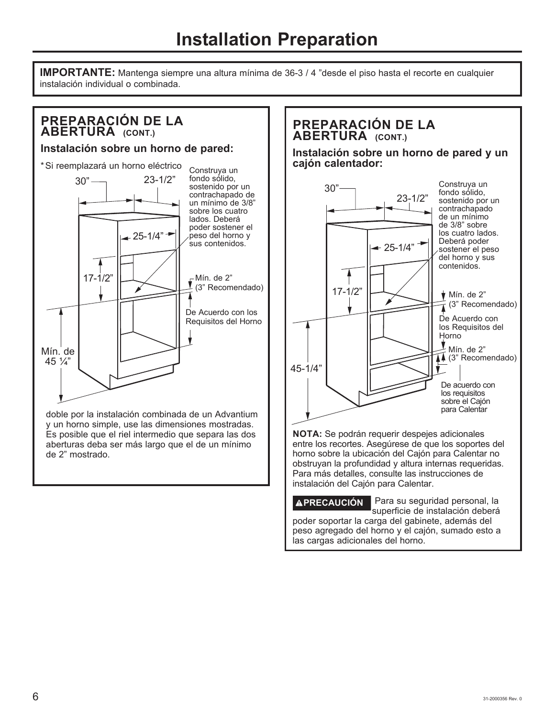**IMPORTANTE:** Mantenga siempre una altura mínima de 36-3 / 4 "desde el piso hasta el recorte en cualquier instalación individual o combinada.

### **PREPARACIÓN DE LA ABERTURA (CONT.) Instalación sobre un horno de pared:** \* Si reemplazará un horno eléctrico  $30"$  23-1/2"  $\leftarrow$  25-1/4" 17-1/2"  $\Box$   $\Box$   $\Box$   $\Box$   $\Box$   $\Box$  Min. de 2" (3" Recomendado) Mín. de 45 ¼" Construya un fondo sólido, sostenido por un contrachapado de un mínimo de 3/8" sobre los cuatro lados. Deberá poder sostener el peso del horno y sus contenidos. De Acuerdo con los Requisitos del Horno

doble por la instalación combinada de un Advantium y un horno simple, use las dimensiones mostradas. Es posible que el riel intermedio que separa las dos aberturas deba ser más largo que el de un mínimo de 2" mostrado.

### **PREPARACIÓN DE LA ABERTURA** (CONT.)

**Instalación sobre un horno de pared y un cajón calentador:**



**NOTA:** Se podrán requerir despejes adicionales entre los recortes. Asegúrese de que los soportes del horno sobre la ubicación del Cajón para Calentar no obstruyan la profundidad y altura internas requeridas. Para más detalles, consulte las instrucciones de instalación del Cajón para Calentar.

**PRECAUCIÓN** Para su seguridad personal, la superficie de instalación deberá poder soportar la carga del gabinete, además del peso agregado del horno y el cajón, sumado esto a las cargas adicionales del horno.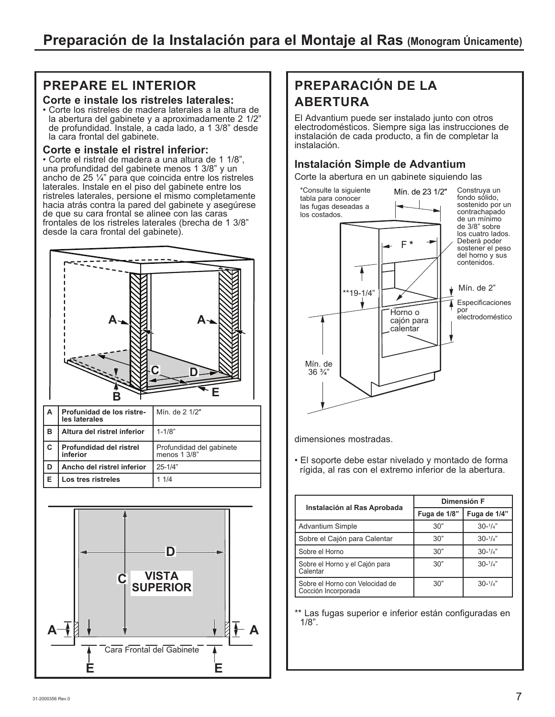### **PREPARE EL INTERIOR**

### **Corte e instale los ristreles laterales:**

• Corte los ristreles de madera laterales a la altura de la abertura del gabinete y a aproximadamente 2 1/2" de profundidad. Instale, a cada lado, a 1 3/8" desde la cara frontal del gabinete.

### **Corte e instale el ristrel inferior:**

• Corte el ristrel de madera a una altura de 1 1/8", una profundidad del gabinete menos 1 3/8" y un ancho de 25 ¼" para que coincida entre los ristreles laterales. Instale en el piso del gabinete entre los ristreles laterales, persione el mismo completamente hacia atrás contra la pared del gabinete y asegúrese de que su cara frontal se alinee con las caras frontales de los ristreles laterales (brecha de 1 3/8" desde la cara frontal del gabinete).





# **PREPARACIÓN DE LA ABERTURA**

El Advantium puede ser instalado junto con otros electrodomésticos. Siempre siga las instrucciones de instalación de cada producto, a fin de completar la instalación.

### **Instalación Simple de Advantium**

Corte la abertura en un gabinete siguiendo las



dimensiones mostradas.

• El soporte debe estar nivelado y montado de forma rígida, al ras con el extremo inferior de la abertura.

| Instalación al Ras Aprobada                            | Dimensión F  |                    |
|--------------------------------------------------------|--------------|--------------------|
|                                                        | Fuga de 1/8" | Fuga de 1/4"       |
| <b>Advantium Simple</b>                                | 30"          | $30 - \frac{1}{4}$ |
| Sobre el Cajón para Calentar                           | 30"          | $30 - \frac{1}{4}$ |
| Sobre el Horno                                         | 30"          | $30 - \frac{1}{4}$ |
| Sobre el Horno y el Cajón para<br>Calentar             | 30"          | $30 - \frac{1}{4}$ |
| Sobre el Horno con Velocidad de<br>Cocción Incorporada | 30"          | $30-1/4"$          |

\*\* Las fugas superior e inferior están configuradas en 1/8".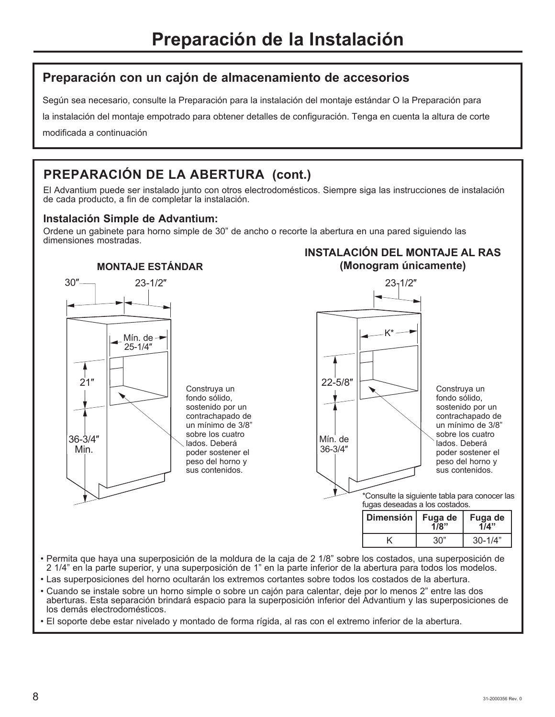### **Preparación con un cajón de almacenamiento de accesorios**

Según sea necesario, consulte la Preparación para la instalación del montaje estándar O la Preparación para

la instalación del montaje empotrado para obtener detalles de configuración. Tenga en cuenta la altura de corte

modificada a continuación

# **PREPARACIÓN DE LA ABERTURA (cont.)**

El Advantium puede ser instalado junto con otros electrodomésticos. Siempre siga las instrucciones de instalación de cada producto, a fin de completar la instalación.

### **Instalación Simple de Advantium:**

Ordene un gabinete para horno simple de 30" de ancho o recorte la abertura en una pared siguiendo las dimensiones mostradas.

# **MONTAJE ESTÁNDAR**



Construya un fondo sólido, sostenido por un contrachapado de un mínimo de 3/8" sobre los cuatro lados. Deberá poder sostener el peso del horno y sus contenidos.



**INSTALACIÓN DEL MONTAJE AL RAS** 

sostenido por un contrachapado de un mínimo de 3/8" sobre los cuatro lados. Deberá poder sostener el peso del horno y sus contenidos.

\*Consulte la siguiente tabla para conocer las fugas deseadas a los costados.

| Dimensión   Fuga de | 178" | Fuga de<br>114" |
|---------------------|------|-----------------|
|                     | 30"  | $30 - 1/4"$     |

• Permita que haya una superposición de la moldura de la caja de 2 1/8" sobre los costados, una superposición de 2 1/4" en la parte superior, y una superposición de 1" en la parte inferior de la abertura para todos los modelos.

36-3/4Ǝ

- Las superposiciones del horno ocultarán los extremos cortantes sobre todos los costados de la abertura.
- Cuando se instale sobre un horno simple o sobre un cajón para calentar, deje por lo menos 2" entre las dos aberturas. Esta separación brindará espacio para la superposición inferior del Advantium y las superposiciones de los demás electrodomésticos.

• El soporte debe estar nivelado y montado de forma rígida, al ras con el extremo inferior de la abertura.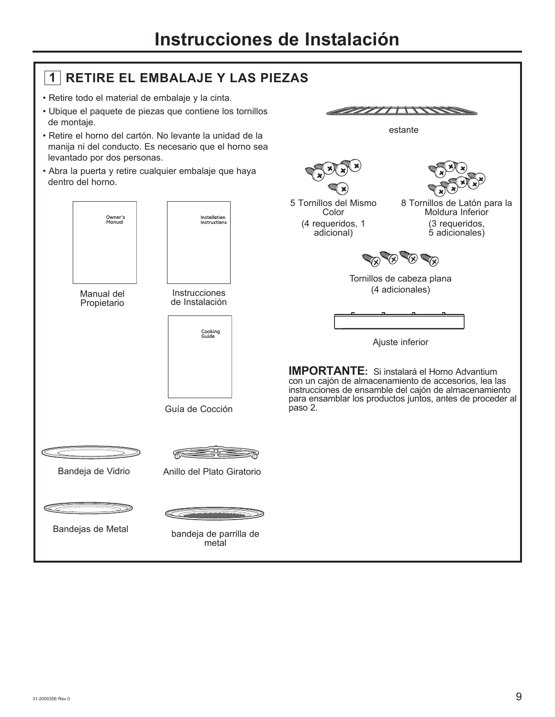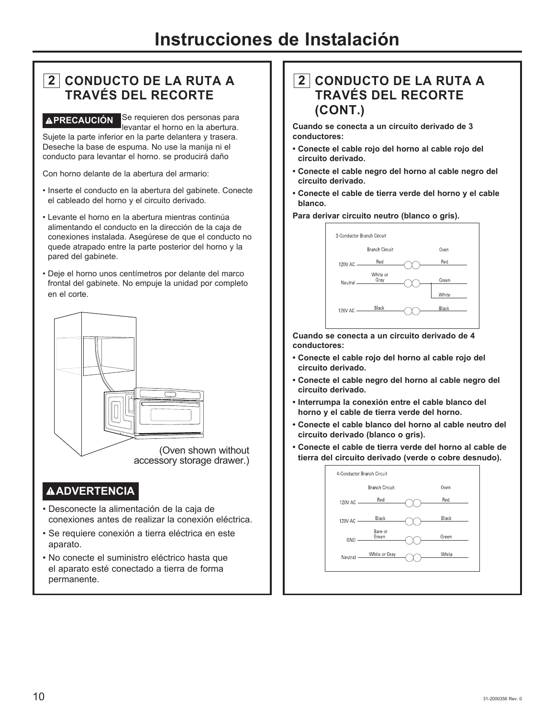## **2 CONDUCTO DE LA RUTA A TRAVÉS DEL RECORTE**

**APRECAUCIÓN** Se requieren dos personas para levantar el horno en la abertura. Sujete la parte inferior en la parte delantera y trasera. Deseche la base de espuma. No use la manija ni el conducto para levantar el horno. se producirá daño

Con horno delante de la abertura del armario:

- Inserte el conducto en la abertura del gabinete. Conecte el cableado del horno y el circuito derivado.
- Levante el horno en la abertura mientras continúa alimentando el conducto en la dirección de la caja de conexiones instalada. Asegúrese de que el conducto no quede atrapado entre la parte posterior del horno y la pared del gabinete.
- Deje el horno unos centímetros por delante del marco frontal del gabinete. No empuje la unidad por completo en el corte.



### **ADVERTENCIA**

- Desconecte la alimentación de la caja de conexiones antes de realizar la conexión eléctrica.
- Se requiere conexión a tierra eléctrica en este aparato.
- No conecte el suministro eléctrico hasta que el aparato esté conectado a tierra de forma permanente.

### **2 CONDUCTO DE LA RUTA A TRAVÉS DEL RECORTE (CONT.)**

**Cuando se conecta a un circuito derivado de 3 conductores:**

- **Conecte el cable rojo del horno al cable rojo del circuito derivado.**
- **Conecte el cable negro del horno al cable negro del circuito derivado.**
- **Conecte el cable de tierra verde del horno y el cable blanco.**





**Cuando se conecta a un circuito derivado de 4 conductores:**

- **Conecte el cable rojo del horno al cable rojo del circuito derivado.**
- **Conecte el cable negro del horno al cable negro del circuito derivado.**
- **Interrumpa la conexión entre el cable blanco del horno y el cable de tierra verde del horno.**
- **Conecte el cable blanco del horno al cable neutro del circuito derivado (blanco o gris).**
- **Conecte el cable de tierra verde del horno al cable de tierra del circuito derivado (verde o cobre desnudo).**

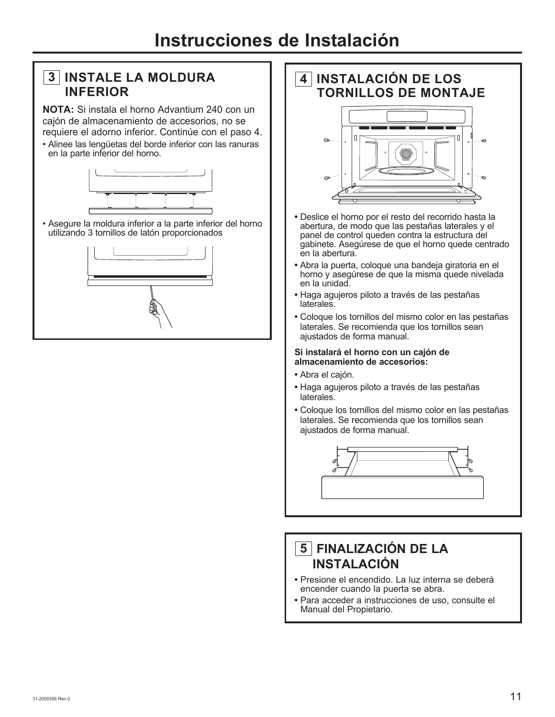### **3 INSTALE LA MOLDURA INFERIOR**

**NOTA:** Si instala el horno Advantium 240 con un cajón de almacenamiento de accesorios, no se requiere el adorno inferior. Continúe con el paso 4.

• Alinee las lengüetas del borde inferior con las ranuras en la parte inferior del horno.



• Asegure la moldura inferior a la parte inferior del horno utilizando 3 tornillos de latón proporcionados



# **4 INSTALACIÓN DE LOS TORNILLOS DE MONTAJE**

- **•** Deslice el horno por el resto del recorrido hasta la abertura, de modo que las pestañas laterales y el panel de control queden contra la estructura del gabinete. Asegúrese de que el horno quede centrado en la abertura.
- **•** Abra la puerta, coloque una bandeja giratoria en el horno y asegúrese de que la misma quede nivelada en la unidad.
- **•** Haga agujeros piloto a través de las pestañas laterales.
- **•** Coloque los tornillos del mismo color en las pestañas laterales. Se recomienda que los tornillos sean ajustados de forma manual.

### **Si instalará el horno con un cajón de almacenamiento de accesorios:**

- **•** Abra el cajón.
- **•** Haga agujeros piloto a través de las pestañas laterales.
- **•** Coloque los tornillos del mismo color en las pestañas laterales. Se recomienda que los tornillos sean ajustados de forma manual.



# **5 FINALIZACIÓN DE LA INSTALACIÓN**

- **•** Presione el encendido. La luz interna se deberá encender cuando la puerta se abra.
- **•** Para acceder a instrucciones de uso, consulte el Manual del Propietario.